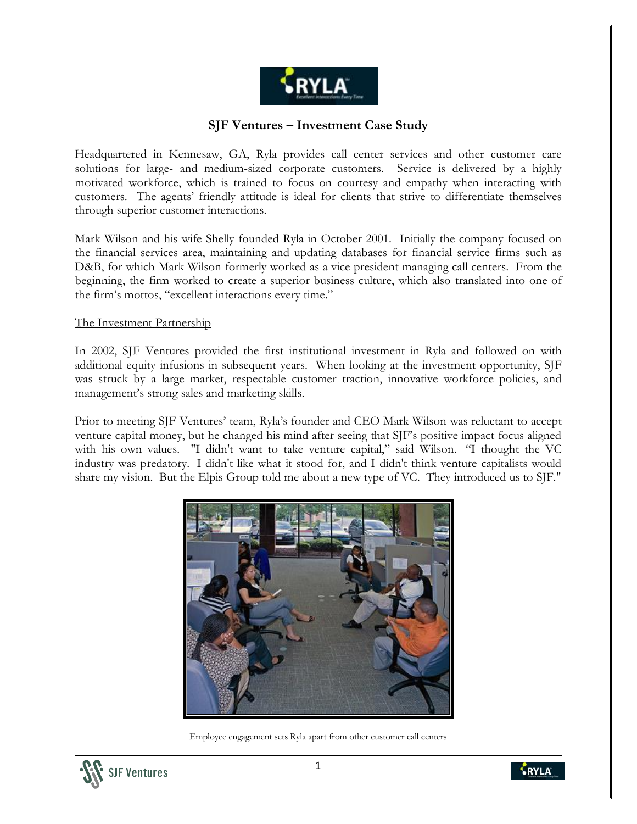

# **SJF Ventures – Investment Case Study**

Headquartered in Kennesaw, GA, Ryla provides call center services and other customer care solutions for large- and medium-sized corporate customers. Service is delivered by a highly motivated workforce, which is trained to focus on courtesy and empathy when interacting with customers. The agents' friendly attitude is ideal for clients that strive to differentiate themselves through superior customer interactions.

Mark Wilson and his wife Shelly founded Ryla in October 2001. Initially the company focused on the financial services area, maintaining and updating databases for financial service firms such as D&B, for which Mark Wilson formerly worked as a vice president managing call centers. From the beginning, the firm worked to create a superior business culture, which also translated into one of the firm's mottos, "excellent interactions every time."

#### The Investment Partnership

In 2002, SJF Ventures provided the first institutional investment in Ryla and followed on with additional equity infusions in subsequent years. When looking at the investment opportunity, SJF was struck by a large market, respectable customer traction, innovative workforce policies, and management's strong sales and marketing skills.

Prior to meeting SJF Ventures' team, Ryla's founder and CEO Mark Wilson was reluctant to accept venture capital money, but he changed his mind after seeing that SJF's positive impact focus aligned with his own values. "I didn't want to take venture capital," said Wilson. "I thought the VC industry was predatory. I didn't like what it stood for, and I didn't think venture capitalists would share my vision. But the Elpis Group told me about a new type of VC. They introduced us to SJF."



Employee engagement sets Ryla apart from other customer call centers



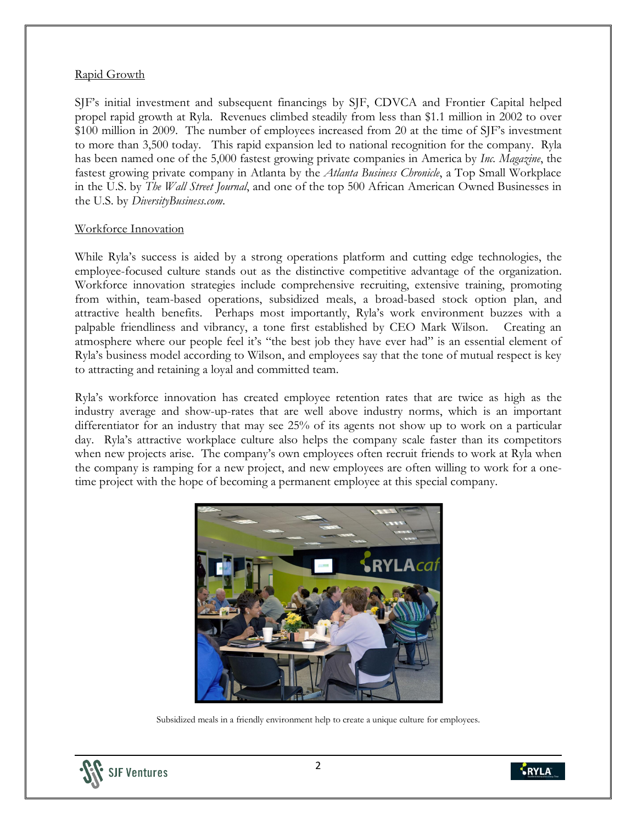## Rapid Growth

SJF's initial investment and subsequent financings by SJF, CDVCA and Frontier Capital helped propel rapid growth at Ryla. Revenues climbed steadily from less than \$1.1 million in 2002 to over \$100 million in 2009. The number of employees increased from 20 at the time of SJF's investment to more than 3,500 today. This rapid expansion led to national recognition for the company. Ryla has been named one of the 5,000 fastest growing private companies in America by *Inc. Magazine*, the fastest growing private company in Atlanta by the *Atlanta Business Chronicle*, a Top Small Workplace in the U.S. by *The Wall Street Journal*, and one of the top 500 African American Owned Businesses in the U.S. by *DiversityBusiness.com*.

#### Workforce Innovation

While Ryla's success is aided by a strong operations platform and cutting edge technologies, the employee-focused culture stands out as the distinctive competitive advantage of the organization. Workforce innovation strategies include comprehensive recruiting, extensive training, promoting from within, team-based operations, subsidized meals, a broad-based stock option plan, and attractive health benefits. Perhaps most importantly, Ryla's work environment buzzes with a palpable friendliness and vibrancy, a tone first established by CEO Mark Wilson. Creating an atmosphere where our people feel it's "the best job they have ever had" is an essential element of Ryla's business model according to Wilson, and employees say that the tone of mutual respect is key to attracting and retaining a loyal and committed team.

Ryla's workforce innovation has created employee retention rates that are twice as high as the industry average and show-up-rates that are well above industry norms, which is an important differentiator for an industry that may see 25% of its agents not show up to work on a particular day. Ryla's attractive workplace culture also helps the company scale faster than its competitors when new projects arise. The company's own employees often recruit friends to work at Ryla when the company is ramping for a new project, and new employees are often willing to work for a onetime project with the hope of becoming a permanent employee at this special company.



Subsidized meals in a friendly environment help to create a unique culture for employees.